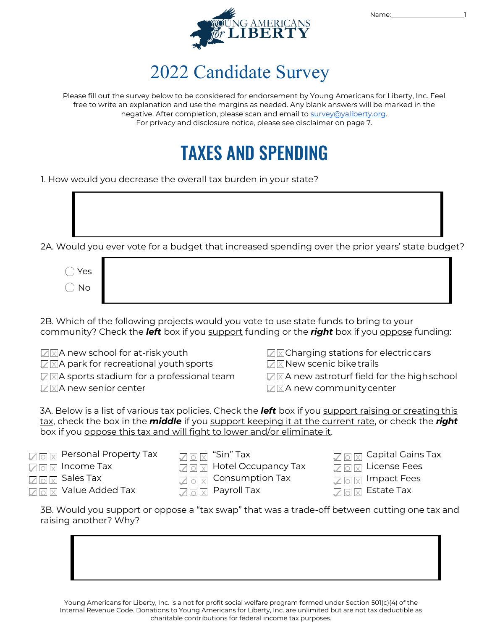

### 2022 Candidate Survey

Please fill out the survey below to be considered for endorsement by Young Americans for Liberty, Inc. Feel free to write an explanation and use the margins as needed. Any blank answers will be marked in the negative. After completion, please scan and email t[o survey@yaliberty.org.](mailto:survey@yaliberty.org) *For privacy and disclosure notice, please see disclaimer on page 7.*

## **TAXES AND SPENDING**

1. How would you decrease the overall tax burden in your state?

2A. Would you ever vote for a budget that increased spending over the prior years' state budget?

| $\bigcirc$ Yes               |  |
|------------------------------|--|
| $\bigcirc$ No $\blacksquare$ |  |

2B. Which of the following projects would you vote to use state funds to bring to your community? Check the *left* box if you support funding or the *right* box if you oppose funding:

 $\nabla$   $\times$  A new school for at-risk youth

- $\sqrt{a}$   $\times$  A park for recreational youth sports
- $\sqrt{2}$  X aports stadium for a professional team
- $\sqrt{2}$  XIA new senior center

**☑ × Charging stations for electric cars** 

**<del>△</del> X New scenic biketrails** 

 $\sqrt{2}$  A new astroturf field for the high school  $\sqrt{2}$  A new community center

3A. Below is a list of various tax policies. Check the *left* box if you support raising or creatingthis tax, check the box in the *middle* if you support keeping it at the current rate, or check the *right*  box if you oppose this tax and will fight to lower and/or eliminate it.

|                                                                             | $\sqrt{c}$                     |
|-----------------------------------------------------------------------------|--------------------------------|
| $\Box$ $\Box$ Hotel Occupancy Tax                                           | $\angle$ C                     |
| $\Box$ o $\boxtimes$ Consumption Tax                                        | $\sqrt{c}$                     |
| $\sqrt{\phantom{a}}_\square$ $\overline{\phantom{a}}_\boxtimes$ Payroll Tax | $\sqrt{c}$                     |
|                                                                             | $\Box$ $\Box$ $\Box$ "Sin" Tax |

 $\Box$   $\Box$   $\Box$  Capital Gains Tax

 $\sqrt{\rule[-0.6ex]{0pt}{0.8em}}\, \sqrt{\rule[-0.6ex]{0pt}{0.8em}}\,$  License Fees

 $\sqrt{\log x}$  Impact Fees

 $\sqrt{\rule[-0.2cm]{0pt}{0.0cm}\oslash}$   $\boxed{\times}$  Estate Tax

3B. Would you support or oppose a "tax swap" that was a trade-off between cutting one tax and raising another? Why?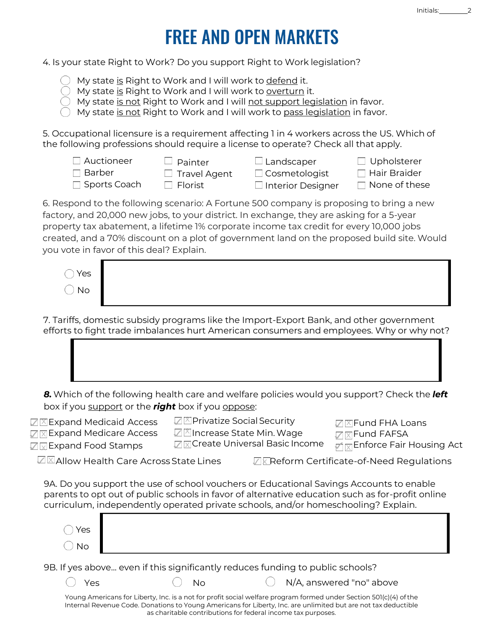# **FREE AND OPEN MARKETS**

4. Is your state *Right to Work*? Do you support *Right to Work* legislation?

- My state is *Right to Work* and I will work to defend it.
- My state is Right to Work and I will work to overturn it.
- My state is not *Right to Work* and I will not support legislation in favor.
- My state is not *Right to Work* and I will work to pass legislation in favor.

*5.* Occupational licensure is a requirement affecting 1 in 4 workers across the US. Which of the following professions should require a license to operate? *Check all that apply.*

| $\Box$ Auctioneer   | $\Box$ Painter      | $\Box$ Landscaper        | $\Box$ Upholsterer   |
|---------------------|---------------------|--------------------------|----------------------|
| $\Box$ Barber       | $\Box$ Travel Agent | $\Box$ Cosmetologist     | $\Box$ Hair Braider  |
| $\Box$ Sports Coach | □ Florist           | $\Box$ Interior Designer | $\Box$ None of these |

6. Respond to the following scenario: A Fortune 500 company is proposing to bring a new factory, and 20,000 new jobs, to your district. In exchange, they are asking for a 5-year property tax abatement, a lifetime 1% corporate income tax credit for every 10,000 jobs created, and a 70% discount on a plot of government land on the proposed build site. Would you vote in favor of this deal? *Explain*.

| $\bigcap$ Yes |  |
|---------------|--|
| $\bigcup$ No  |  |

7. Tariffs, domestic subsidy programs like the Import-Export Bank, and other government efforts to fight trade imbalances hurt American consumers and employees. Why or why not?

*8.* Which of the following health care and welfare policies would you support? Check the *left*

**□ x Create Universal Basic Income** 

box if you support or the *right* box if you oppose:

 $\sqrt{\mathbb{X}}$  Expand Medicaid Access

**☑ x Expand Medicare Access**  $\nabla \times$ Expand Food Stamps

- **<del>△</del> A** Privatize Social Security
- **<del></del> Z** Increase State Min. Wage
- **<del>⊠</del> Fund FHA Loans ☑ x Fund FAFSA** 
	-

 $\sqrt{1/\sqrt{1/\sqrt{1/\sqrt{1}}}}$  Enforce Fair Housing Act

✓ x Allow Health Care AcrossState Lines ✓ x Reform Certificate-of-Need Regulations

9A. Do you support the use of school vouchers or Educational Savings Accounts to enable parents to opt out of public schools in favor of alternative education such as for-profit online curriculum, independently operated private schools, and/or homeschooling? *Explain*.

| $\bigcirc$ Yes |  |
|----------------|--|
| $\bigcirc$ No  |  |
|                |  |

9B. If yes above... even if this significantly reduces funding to public schools?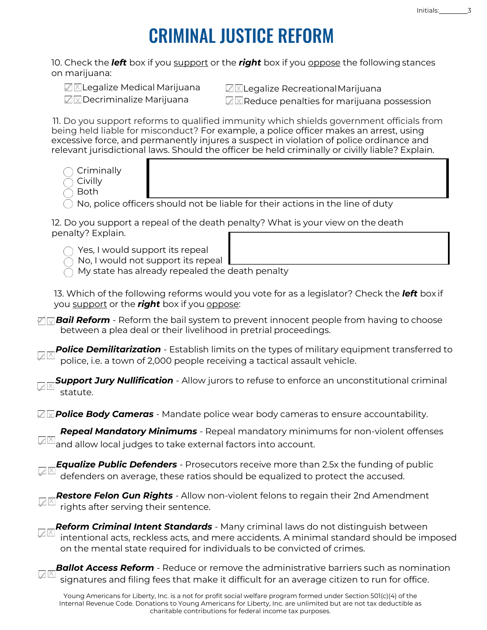## **CRIMINAL JUSTICE REFORM**

10. Check the *left* box if you support or the *right* box if you oppose the following stances on marijuana:

**☑ X Legalize Medical Marijuana**  $\square$  Decriminalize Marijuana

 $\sqrt{2}$  Legalize Recreational Marijuana

 $\sqrt{2}$  Reduce penalties for marijuana possession

11. Do you support reforms to qualified immunity which shields government officials from being held liable for misconduct? For example, a police officer makes an arrest, using excessive force, and permanently injures a suspect in violation of police ordinance and relevant jurisdictional laws. Should the officer be held criminally or civilly liable? *Explain*.

- Criminally
- Civilly
- Both

✓

No, police officers should not be liable for their actions in the line of duty

12. Do you support a repeal of the death penalty? What is your view on the death penalty? *Explain*.

- Yes, I would support its repeal
- No, I would not support its repeal
- My state has already repealed the death penalty

13. Which of the following reforms would you vote for as a legislator? Check the *left* box if you support or the *right* box if you oppose:

 $\sqrt[p]{\sqrt{2}}$  *Bail Reform* - Reform the bail system to prevent innocent people from having to choose between a plea deal or their livelihood in pretrial proceedings.

**Police Demilitarization** - Establish limits on the types of military equipment transferred to police, i.e. a town of 2,000 people receiving a tactical assault vehicle. ✓

x ✓ *Support Jury Nullification* - Allow jurors to refuse to enforce an unconstitutional criminal statute.

**⊠⊠Police Body Cameras** - Mandate police wear body cameras to ensure accountability.

*Repeal Mandatory Minimums* - Repeal mandatory minimums for non-violent offenses x and allow local judges to take external factors into account. ✓

x ✓ *Equalize Public Defenders* - Prosecutors receive more than 2.5x the funding of public defenders on average, these ratios should be equalized to protect the accused.

x *Restore Felon Gun Rights* - Allow non-violent felons to regain their 2nd Amendment rights after serving their sentence.

x intentional acts, reckless acts, and mere accidents. A minimal standard should be imposed ✓ *Reform Criminal Intent Standards* - Many criminal laws do not distinguish between on the mental state required for individuals to be convicted of crimes.

**Ballot Access Reform** - Reduce or remove the administrative barriers such as nomination signatures and filing fees that make it difficult for an average citizen to run for office. ✓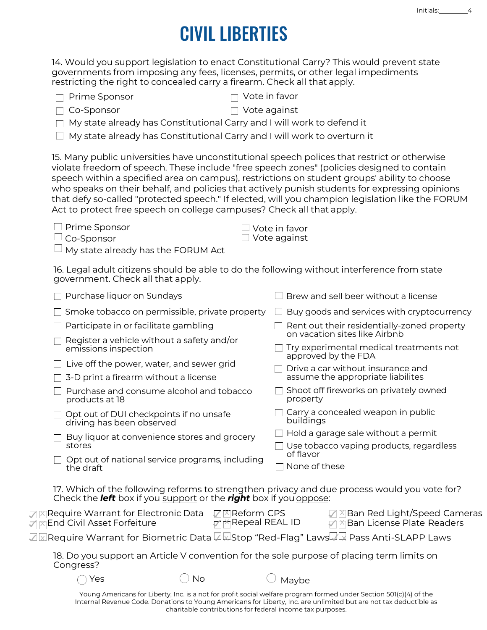# **CIVIL LIBERTIES**

*14.* Would you support legislation to enact *Constitutional Carry*? This would prevent state governments from imposing any fees, licenses, permits, or other legal impediments restricting the right to concealed carry a firearm. *Check all that apply.*

- $\Box$  Co-Sponsor  $\Box$  Vote against
- 
- My state already has *Constitutional Carry* and I will work to defend it
- My state already has *Constitutional Carry* and I will work to overturn it

*15.* Many public universities have unconstitutional speech polices that restrict or otherwise violate freedom of speech. These include "free speech zones" (policies designed to contain speech within a specified area on campus), restrictions on student groups' ability to choose who speaks on their behalf, and policies that actively *punish* students for expressing opinions that defy so-called "protected speech." If elected, will you champion legislation like the *FORUM Act* to protect free speech on college campuses? *Check all that apply.*

 $\square$  Prime Sponsor

 $\Box$  Vote in favor  $\Box$  Vote against

 $\Box$  Co-Sponsor

My state already has the *FORUM* Act

16. Legal adult citizens should be able to do the following without interference from state government. *Check all that apply*.

| Purchase liquor on Sundays                                                                                                                                               | Brew and sell beer without a license                                                            |  |  |
|--------------------------------------------------------------------------------------------------------------------------------------------------------------------------|-------------------------------------------------------------------------------------------------|--|--|
| $\Box$ Smoke tobacco on permissible, private property                                                                                                                    | $\Box$ Buy goods and services with cryptocurrency                                               |  |  |
| Participate in or facilitate gambling                                                                                                                                    | Rent out their residentially-zoned property                                                     |  |  |
| Register a vehicle without a safety and/or<br>emissions inspection                                                                                                       | on vacation sites like Airbnb<br>Try experimental medical treatments not<br>approved by the FDA |  |  |
| Live off the power, water, and sewer grid                                                                                                                                | $\Box$ Drive a car without insurance and                                                        |  |  |
| 3-D print a firearm without a license                                                                                                                                    | assume the appropriate liabilites                                                               |  |  |
| Purchase and consume alcohol and tobacco<br>products at 18                                                                                                               | Shoot off fireworks on privately owned<br>property                                              |  |  |
| Opt out of DUI checkpoints if no unsafe<br>driving has been observed                                                                                                     | Carry a concealed weapon in public<br>buildings                                                 |  |  |
| Buy liquor at convenience stores and grocery<br>stores                                                                                                                   | $\Box$ Hold a garage sale without a permit<br>Use tobacco vaping products, regardless           |  |  |
| Opt out of national service programs, including<br>the draft                                                                                                             | of flavor<br>None of these                                                                      |  |  |
| 17. Which of the following reforms to strengthen privacy and due process would you vote for?<br>Check the <b>left</b> box if you support or the right box if you oppose: |                                                                                                 |  |  |
| Require Warrant for Electronic Data<br><b>DIXIReform CPS</b><br><b>MIX Repeal REAL ID</b><br>End Civil Asset Forfeiture                                                  | <b><del>⊠</del>Ean Red Light/Speed Cameras</b><br><b>∏</b> Ban License Plate Readers            |  |  |
| Z⊠Require Warrant for Biometric Data Z⊠Stop "Red-Flag" Laws . /Lx Pass Anti-SLAPP Laws                                                                                   |                                                                                                 |  |  |
| 18. Do you support an Article V convention for the sole purpose of placing term limits on<br>Congress?                                                                   |                                                                                                 |  |  |
| No<br>Yes                                                                                                                                                                | Maybe                                                                                           |  |  |
| Voung Americans for Liberty Inc. is a not for profit social welfare pregram formed under Section 501(s)(s) of the                                                        |                                                                                                 |  |  |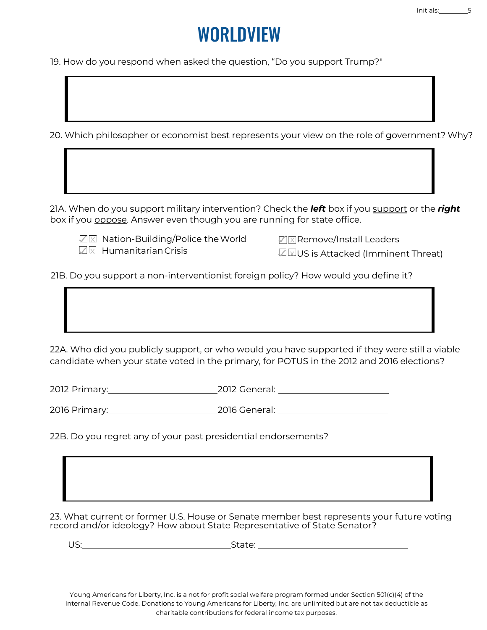## WORI DVIFW

19. How do you respond when asked the question, "Do you support Trump?"

20. Which philosopher or economist best represents your view on the role of government? Why?

21A. When do you support military intervention? Check the *left* box if you support or the *right* box if you oppose. *Answer even though you are running for state office.*

✓ x Nation-Building/Police theWorld ✓ x Remove/Install Leaders  $\nabla \times$  Humanitarian Crisis

 $\sqrt{a}$  WUS is Attacked (Imminent Threat)

21B. Do you support a non-interventionist foreign policy? How would you define it?

22A. Who did you publicly support, or who would you have supported if they were still a viable candidate when your state voted in the primary, for POTUS in the 2012 and 2016 elections?

2012 Primary: 2012 General:

2016 Primary: 2016 General:

22B. Do you regret any of your past presidential endorsements?

23. What current or former U.S. House or Senate member best represents your future voting record and/or ideology? How about State Representative of State Senator?

US: No. 2006. In the set of the set of the State: No. 2016. In the set of the set of the set of the set of the set of the set of the set of the set of the set of the set of the set of the set of the set of the set of the s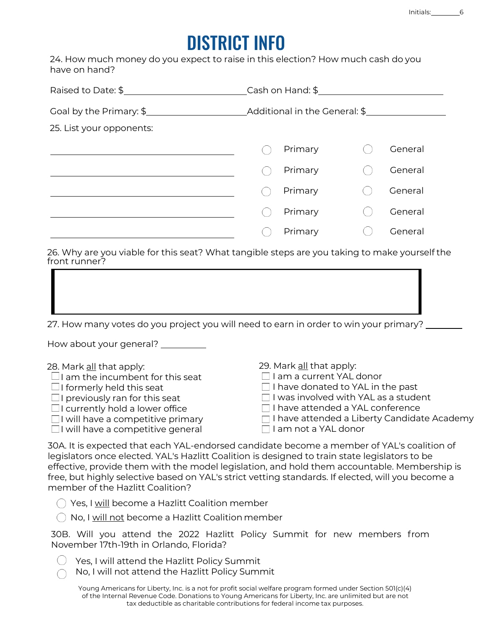## **DISTRICT INFO**

24. How much money do you expect to raise in this election? How much cash do you have on hand?

| Raised to Date: \$       | $\frac{1}{2}$ Cash on Hand: \$ $\frac{1}{2}$ |  |         |  |
|--------------------------|----------------------------------------------|--|---------|--|
| Goal by the Primary: \$  | _Additional in the General: \$_________      |  |         |  |
| 25. List your opponents: |                                              |  |         |  |
|                          | Primary                                      |  | General |  |
|                          | Primary                                      |  | General |  |
|                          | Primary                                      |  | General |  |
|                          | Primary                                      |  | General |  |
|                          | Primary                                      |  | General |  |

26. Why are you viable for this seat? What tangible steps are you taking to make yourself the front runner?

27. How many votes do you project you will need to earn in order to win your primary?

How about your general?

| 28. Mark all that apply:                 | 29. Mark all that apply:                           |
|------------------------------------------|----------------------------------------------------|
| $\Box$ I am the incumbent for this seat  | I am a current YAL donor                           |
| $\Box$ I formerly held this seat         | $\Box$ I have donated to YAL in the past           |
| $\Box$ I previously ran for this seat    | $\Box$ I was involved with YAL as a student        |
| $\Box$ I currently hold a lower office   | □ I have attended a YAL conference                 |
| $\Box$ I will have a competitive primary | $\Box$ I have attended a Liberty Candidate Academy |
| □ I will have a competitive general      | □ I am not a YAL donor                             |

30A. It is expected that each YAL-endorsed candidate become a member of YAL's coalition of legislators once elected. YAL's Hazlitt Coalition is designed to train state legislators to be effective, provide them with the model legislation, and hold them accountable. Membership is free, but highly selective based on YAL's strict vetting standards. If elected, will you become a member of the Hazlitt Coalition?

Yes, I will become a Hazlitt Coalition member

 $\bigcirc$  No, I will not become a Hazlitt Coalition member

30B. Will you attend the 2022 Hazlitt Policy Summit for new members from November 17th-19th in Orlando, Florida?

- $\bigcirc$  Yes, I will attend the Hazlitt Policy Summit
- No, I will not attend the Hazlitt Policy Summit